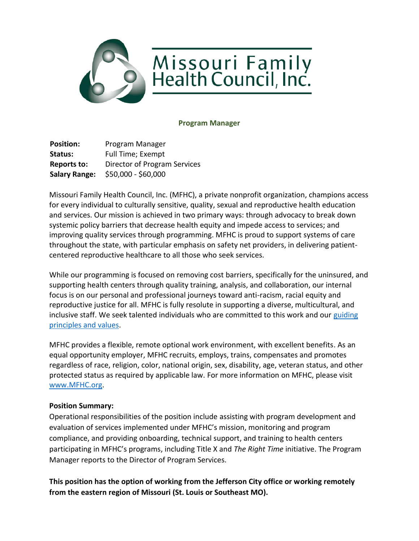

#### **Program Manager**

**Position:** Program Manager Status: Full Time; Exempt **Reports to:** Director of Program Services **Salary Range:** \$50,000 - \$60,000

Missouri Family Health Council, Inc. (MFHC), a private nonprofit organization, champions access for every individual to culturally sensitive, quality, sexual and reproductive health education and services. Our mission is achieved in two primary ways: through advocacy to break down systemic policy barriers that decrease health equity and impede access to services; and improving quality services through programming. MFHC is proud to support systems of care throughout the state, with particular emphasis on safety net providers, in delivering patientcentered reproductive healthcare to all those who seek services.

While our programming is focused on removing cost barriers, specifically for the uninsured, and supporting health centers through quality training, analysis, and collaboration, our internal focus is on our personal and professional journeys toward anti-racism, racial equity and reproductive justice for all. MFHC is fully resolute in supporting a diverse, multicultural, and inclusive staff. We seek talented individuals who are committed to this work and our [guiding](https://mfhc.org/who-we-are/#:~:text=Donate-,Guiding%20Principles,-MFHC%20is%20guided)  [principles and values.](https://mfhc.org/who-we-are/#:~:text=Donate-,Guiding%20Principles,-MFHC%20is%20guided)

MFHC provides a flexible, remote optional work environment, with excellent benefits. As an equal opportunity employer, MFHC recruits, employs, trains, compensates and promotes regardless of race, religion, color, national origin, sex, disability, age, veteran status, and other protected status as required by applicable law. For more information on MFHC, please visit [www.MFHC.org.](http://www.mfhc.org/)

## **Position Summary:**

Operational responsibilities of the position include assisting with program development and evaluation of services implemented under MFHC's mission, monitoring and program compliance, and providing onboarding, technical support, and training to health centers participating in MFHC's programs, including Title X and *The Right Time* initiative. The Program Manager reports to the Director of Program Services.

**This position has the option of working from the Jefferson City office or working remotely from the eastern region of Missouri (St. Louis or Southeast MO).**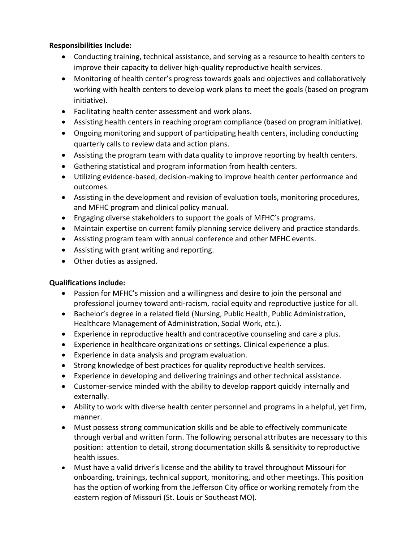## **Responsibilities Include:**

- Conducting training, technical assistance, and serving as a resource to health centers to improve their capacity to deliver high-quality reproductive health services.
- Monitoring of health center's progress towards goals and objectives and collaboratively working with health centers to develop work plans to meet the goals (based on program initiative).
- Facilitating health center assessment and work plans.
- Assisting health centers in reaching program compliance (based on program initiative).
- Ongoing monitoring and support of participating health centers, including conducting quarterly calls to review data and action plans.
- Assisting the program team with data quality to improve reporting by health centers.
- Gathering statistical and program information from health centers.
- Utilizing evidence-based, decision-making to improve health center performance and outcomes.
- Assisting in the development and revision of evaluation tools, monitoring procedures, and MFHC program and clinical policy manual.
- Engaging diverse stakeholders to support the goals of MFHC's programs.
- Maintain expertise on current family planning service delivery and practice standards.
- Assisting program team with annual conference and other MFHC events.
- Assisting with grant writing and reporting.
- Other duties as assigned.

# **Qualifications include:**

- Passion for MFHC's mission and a willingness and desire to join the personal and professional journey toward anti-racism, racial equity and reproductive justice for all.
- Bachelor's degree in a related field (Nursing, Public Health, Public Administration, Healthcare Management of Administration, Social Work, etc.).
- Experience in reproductive health and contraceptive counseling and care a plus.
- Experience in healthcare organizations or settings. Clinical experience a plus.
- Experience in data analysis and program evaluation.
- Strong knowledge of best practices for quality reproductive health services.
- Experience in developing and delivering trainings and other technical assistance.
- Customer-service minded with the ability to develop rapport quickly internally and externally.
- Ability to work with diverse health center personnel and programs in a helpful, yet firm, manner.
- Must possess strong communication skills and be able to effectively communicate through verbal and written form. The following personal attributes are necessary to this position: attention to detail, strong documentation skills & sensitivity to reproductive health issues.
- Must have a valid driver's license and the ability to travel throughout Missouri for onboarding, trainings, technical support, monitoring, and other meetings. This position has the option of working from the Jefferson City office or working remotely from the eastern region of Missouri (St. Louis or Southeast MO).